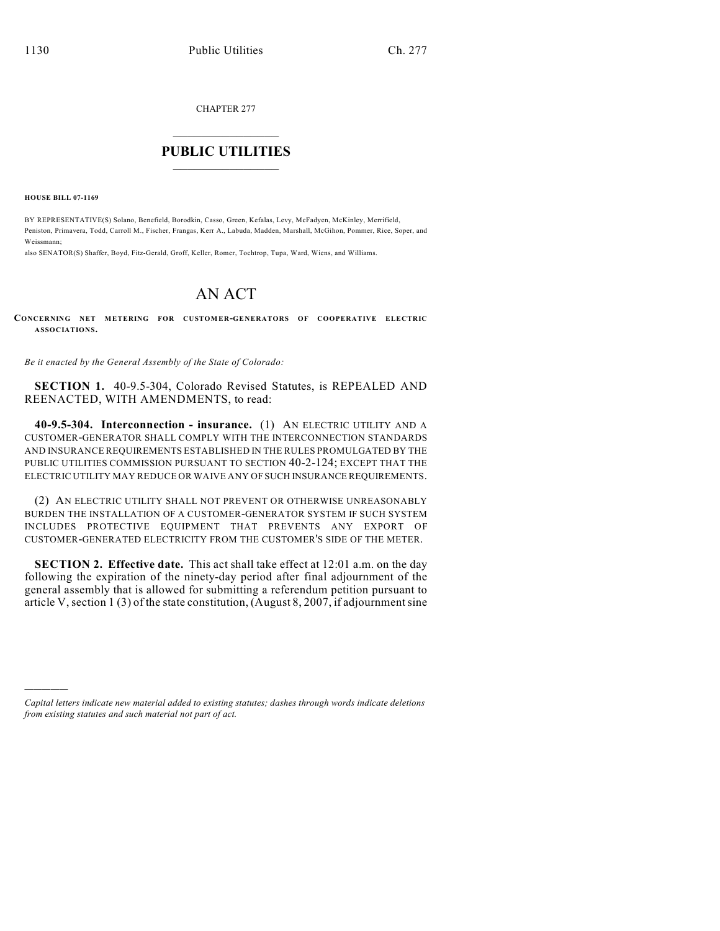CHAPTER 277

## $\overline{\phantom{a}}$  . The set of the set of the set of the set of the set of the set of the set of the set of the set of the set of the set of the set of the set of the set of the set of the set of the set of the set of the set o **PUBLIC UTILITIES** \_\_\_\_\_\_\_\_\_\_\_\_\_\_\_

**HOUSE BILL 07-1169**

)))))

BY REPRESENTATIVE(S) Solano, Benefield, Borodkin, Casso, Green, Kefalas, Levy, McFadyen, McKinley, Merrifield, Peniston, Primavera, Todd, Carroll M., Fischer, Frangas, Kerr A., Labuda, Madden, Marshall, McGihon, Pommer, Rice, Soper, and Weissmann;

also SENATOR(S) Shaffer, Boyd, Fitz-Gerald, Groff, Keller, Romer, Tochtrop, Tupa, Ward, Wiens, and Williams.

## AN ACT

## **CONCERNING NET METERING FOR CUSTOMER-GENERATORS OF COOPERATIVE ELECTRIC ASSOCIATIONS.**

*Be it enacted by the General Assembly of the State of Colorado:*

**SECTION 1.** 40-9.5-304, Colorado Revised Statutes, is REPEALED AND REENACTED, WITH AMENDMENTS, to read:

**40-9.5-304. Interconnection - insurance.** (1) AN ELECTRIC UTILITY AND A CUSTOMER-GENERATOR SHALL COMPLY WITH THE INTERCONNECTION STANDARDS AND INSURANCE REQUIREMENTS ESTABLISHED IN THE RULES PROMULGATED BY THE PUBLIC UTILITIES COMMISSION PURSUANT TO SECTION 40-2-124; EXCEPT THAT THE ELECTRIC UTILITY MAY REDUCE OR WAIVE ANY OF SUCH INSURANCE REQUIREMENTS.

(2) AN ELECTRIC UTILITY SHALL NOT PREVENT OR OTHERWISE UNREASONABLY BURDEN THE INSTALLATION OF A CUSTOMER-GENERATOR SYSTEM IF SUCH SYSTEM INCLUDES PROTECTIVE EQUIPMENT THAT PREVENTS ANY EXPORT OF CUSTOMER-GENERATED ELECTRICITY FROM THE CUSTOMER'S SIDE OF THE METER.

**SECTION 2. Effective date.** This act shall take effect at 12:01 a.m. on the day following the expiration of the ninety-day period after final adjournment of the general assembly that is allowed for submitting a referendum petition pursuant to article V, section 1 (3) of the state constitution, (August 8, 2007, if adjournment sine

*Capital letters indicate new material added to existing statutes; dashes through words indicate deletions from existing statutes and such material not part of act.*